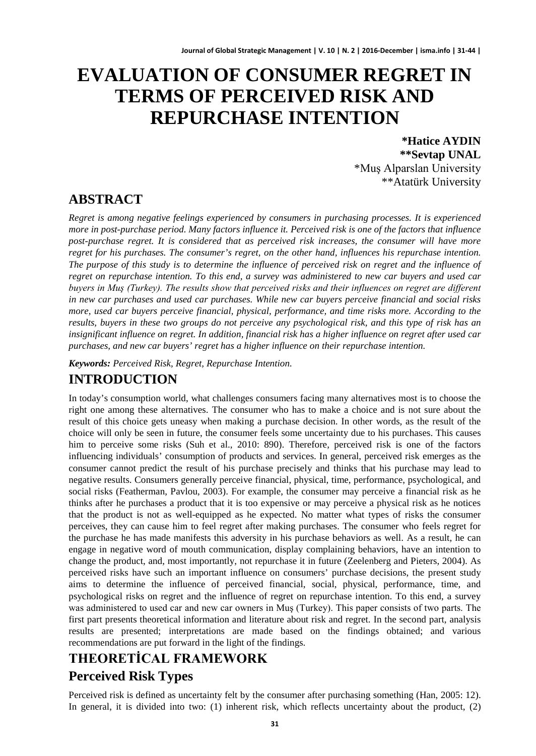# **EVALUATION OF CONSUMER REGRET IN TERMS OF PERCEIVED RISK AND REPURCHASE INTENTION**

**\*Hatice AYDIN \*\*Sevtap UNAL** \*Muş Alparslan University \*\*Atatürk University

### **ABSTRACT**

*Regret is among negative feelings experienced by consumers in purchasing processes. It is experienced more in post-purchase period. Many factors influence it. Perceived risk is one of the factors that influence post-purchase regret. It is considered that as perceived risk increases, the consumer will have more regret for his purchases. The consumer's regret, on the other hand, influences his repurchase intention. The purpose of this study is to determine the influence of perceived risk on regret and the influence of regret on repurchase intention. To this end, a survey was administered to new car buyers and used car buyers in Muş (Turkey). The results show that perceived risks and their influences on regret are different in new car purchases and used car purchases. While new car buyers perceive financial and social risks more, used car buyers perceive financial, physical, performance, and time risks more. According to the results, buyers in these two groups do not perceive any psychological risk, and this type of risk has an insignificant influence on regret. In addition, financial risk has a higher influence on regret after used car purchases, and new car buyers' regret has a higher influence on their repurchase intention.*

*Keywords: Perceived Risk, Regret, Repurchase Intention.*

### **INTRODUCTION**

In today's consumption world, what challenges consumers facing many alternatives most is to choose the right one among these alternatives. The consumer who has to make a choice and is not sure about the result of this choice gets uneasy when making a purchase decision. In other words, as the result of the choice will only be seen in future, the consumer feels some uncertainty due to his purchases. This causes him to perceive some risks (Suh et al., 2010: 890). Therefore, perceived risk is one of the factors influencing individuals' consumption of products and services. In general, perceived risk emerges as the consumer cannot predict the result of his purchase precisely and thinks that his purchase may lead to negative results. Consumers generally perceive financial, physical, time, performance, psychological, and social risks (Featherman, Pavlou, 2003). For example, the consumer may perceive a financial risk as he thinks after he purchases a product that it is too expensive or may perceive a physical risk as he notices that the product is not as well-equipped as he expected. No matter what types of risks the consumer perceives, they can cause him to feel regret after making purchases. The consumer who feels regret for the purchase he has made manifests this adversity in his purchase behaviors as well. As a result, he can engage in negative word of mouth communication, display complaining behaviors, have an intention to change the product, and, most importantly, not repurchase it in future (Zeelenberg and Pieters, 2004). As perceived risks have such an important influence on consumers' purchase decisions, the present study aims to determine the influence of perceived financial, social, physical, performance, time, and psychological risks on regret and the influence of regret on repurchase intention. To this end, a survey was administered to used car and new car owners in Muş (Turkey). This paper consists of two parts. The first part presents theoretical information and literature about risk and regret. In the second part, analysis results are presented; interpretations are made based on the findings obtained; and various recommendations are put forward in the light of the findings.

# **THEORETİCAL FRAMEWORK Perceived Risk Types**

Perceived risk is defined as uncertainty felt by the consumer after purchasing something (Han, 2005: 12). In general, it is divided into two: (1) inherent risk, which reflects uncertainty about the product, (2)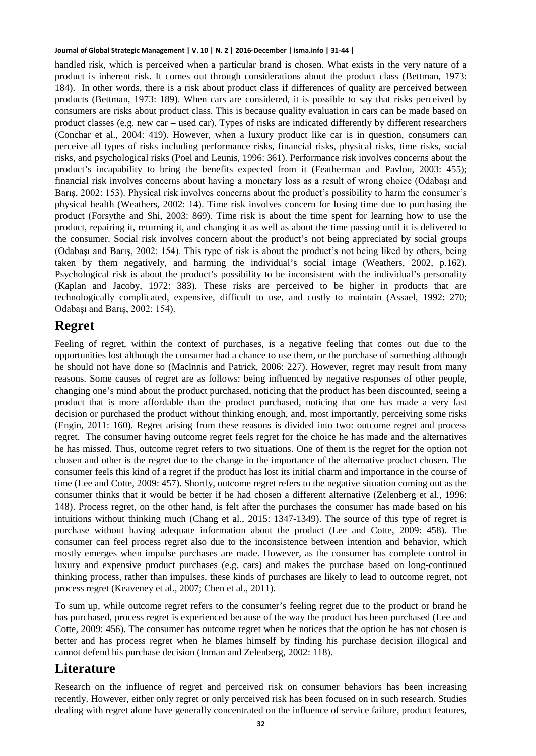handled risk, which is perceived when a particular brand is chosen. What exists in the very nature of a product is inherent risk. It comes out through considerations about the product class (Bettman, 1973: 184). In other words, there is a risk about product class if differences of quality are perceived between products (Bettman, 1973: 189). When cars are considered, it is possible to say that risks perceived by consumers are risks about product class. This is because quality evaluation in cars can be made based on product classes (e.g. new car – used car). Types of risks are indicated differently by different researchers (Conchar et al., 2004: 419). However, when a luxury product like car is in question, consumers can perceive all types of risks including performance risks, financial risks, physical risks, time risks, social risks, and psychological risks (Poel and Leunis, 1996: 361). Performance risk involves concerns about the product's incapability to bring the benefits expected from it (Featherman and Pavlou, 2003: 455); financial risk involves concerns about having a monetary loss as a result of wrong choice (Odabaşı and Barış, 2002: 153). Physical risk involves concerns about the product's possibility to harm the consumer's physical health (Weathers, 2002: 14). Time risk involves concern for losing time due to purchasing the product (Forsythe and Shi, 2003: 869). Time risk is about the time spent for learning how to use the product, repairing it, returning it, and changing it as well as about the time passing until it is delivered to the consumer. Social risk involves concern about the product's not being appreciated by social groups (Odabaşı and Barış, 2002: 154). This type of risk is about the product's not being liked by others, being taken by them negatively, and harming the individual's social image (Weathers, 2002, p.162). Psychological risk is about the product's possibility to be inconsistent with the individual's personality (Kaplan and Jacoby, 1972: 383). These risks are perceived to be higher in products that are technologically complicated, expensive, difficult to use, and costly to maintain (Assael, 1992: 270; Odabaşı and Barış, 2002: 154).

#### **Regret**

Feeling of regret, within the context of purchases, is a negative feeling that comes out due to the opportunities lost although the consumer had a chance to use them, or the purchase of something although he should not have done so (Maclnnis and Patrick, 2006: 227). However, regret may result from many reasons. Some causes of regret are as follows: being influenced by negative responses of other people, changing one's mind about the product purchased, noticing that the product has been discounted, seeing a product that is more affordable than the product purchased, noticing that one has made a very fast decision or purchased the product without thinking enough, and, most importantly, perceiving some risks (Engin, 2011: 160). Regret arising from these reasons is divided into two: outcome regret and process regret. The consumer having outcome regret feels regret for the choice he has made and the alternatives he has missed. Thus, outcome regret refers to two situations. One of them is the regret for the option not chosen and other is the regret due to the change in the importance of the alternative product chosen. The consumer feels this kind of a regret if the product has lost its initial charm and importance in the course of time (Lee and Cotte, 2009: 457). Shortly, outcome regret refers to the negative situation coming out as the consumer thinks that it would be better if he had chosen a different alternative (Zelenberg et al., 1996: 148). Process regret, on the other hand, is felt after the purchases the consumer has made based on his intuitions without thinking much (Chang et al., 2015: 1347-1349). The source of this type of regret is purchase without having adequate information about the product (Lee and Cotte, 2009: 458). The consumer can feel process regret also due to the inconsistence between intention and behavior, which mostly emerges when impulse purchases are made. However, as the consumer has complete control in luxury and expensive product purchases (e.g. cars) and makes the purchase based on long-continued thinking process, rather than impulses, these kinds of purchases are likely to lead to outcome regret, not process regret (Keaveney et al., 2007; Chen et al., 2011).

To sum up, while outcome regret refers to the consumer's feeling regret due to the product or brand he has purchased, process regret is experienced because of the way the product has been purchased (Lee and Cotte, 2009: 456). The consumer has outcome regret when he notices that the option he has not chosen is better and has process regret when he blames himself by finding his purchase decision illogical and cannot defend his purchase decision (Inman and Zelenberg, 2002: 118).

#### **Literature**

Research on the influence of regret and perceived risk on consumer behaviors has been increasing recently. However, either only regret or only perceived risk has been focused on in such research. Studies dealing with regret alone have generally concentrated on the influence of service failure, product features,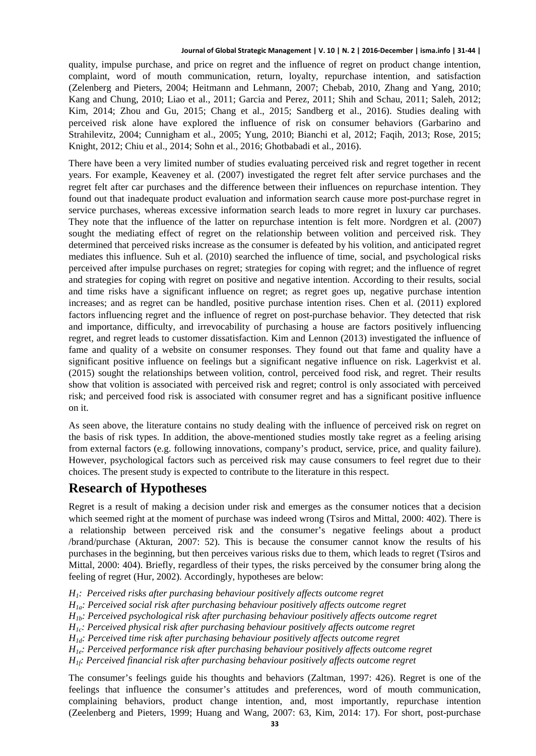quality, impulse purchase, and price on regret and the influence of regret on product change intention, complaint, word of mouth communication, return, loyalty, repurchase intention, and satisfaction (Zelenberg and Pieters, 2004; Heitmann and Lehmann, 2007; Chebab, 2010, Zhang and Yang, 2010; Kang and Chung, 2010; Liao et al., 2011; Garcia and Perez, 2011; Shih and Schau, 2011; Saleh, 2012; Kim, 2014; Zhou and Gu, 2015; Chang et al., 2015; Sandberg et al., 2016). Studies dealing with perceived risk alone have explored the influence of risk on consumer behaviors (Garbarino and Strahilevitz, 2004; Cunnigham et al., 2005; Yung, 2010; Bianchi et al, 2012; Faqih, 2013; Rose, 2015; Knight, 2012; Chiu et al., 2014; Sohn et al., 2016; Ghotbabadi et al., 2016).

There have been a very limited number of studies evaluating perceived risk and regret together in recent years. For example, Keaveney et al. (2007) investigated the regret felt after service purchases and the regret felt after car purchases and the difference between their influences on repurchase intention. They found out that inadequate product evaluation and information search cause more post-purchase regret in service purchases, whereas excessive information search leads to more regret in luxury car purchases. They note that the influence of the latter on repurchase intention is felt more. Nordgren et al. (2007) sought the mediating effect of regret on the relationship between volition and perceived risk. They determined that perceived risks increase as the consumer is defeated by his volition, and anticipated regret mediates this influence. Suh et al. (2010) searched the influence of time, social, and psychological risks perceived after impulse purchases on regret; strategies for coping with regret; and the influence of regret and strategies for coping with regret on positive and negative intention. According to their results, social and time risks have a significant influence on regret; as regret goes up, negative purchase intention increases; and as regret can be handled, positive purchase intention rises. Chen et al. (2011) explored factors influencing regret and the influence of regret on post-purchase behavior. They detected that risk and importance, difficulty, and irrevocability of purchasing a house are factors positively influencing regret, and regret leads to customer dissatisfaction. Kim and Lennon (2013) investigated the influence of fame and quality of a website on consumer responses. They found out that fame and quality have a significant positive influence on feelings but a significant negative influence on risk. Lagerkvist et al. (2015) sought the relationships between volition, control, perceived food risk, and regret. Their results show that volition is associated with perceived risk and regret; control is only associated with perceived risk; and perceived food risk is associated with consumer regret and has a significant positive influence on it.

As seen above, the literature contains no study dealing with the influence of perceived risk on regret on the basis of risk types. In addition, the above-mentioned studies mostly take regret as a feeling arising from external factors (e.g. following innovations, company's product, service, price, and quality failure). However, psychological factors such as perceived risk may cause consumers to feel regret due to their choices. The present study is expected to contribute to the literature in this respect.

### **Research of Hypotheses**

Regret is a result of making a decision under risk and emerges as the consumer notices that a decision which seemed right at the moment of purchase was indeed wrong (Tsiros and Mittal, 2000: 402). There is a relationship between perceived risk and the consumer's negative feelings about a product /brand/purchase (Akturan, 2007: 52). This is because the consumer cannot know the results of his purchases in the beginning, but then perceives various risks due to them, which leads to regret (Tsiros and Mittal, 2000: 404). Briefly, regardless of their types, the risks perceived by the consumer bring along the feeling of regret (Hur, 2002). Accordingly, hypotheses are below:

- *H1: Perceived risks after purchasing behaviour positively affects outcome regret*
- *H1a: Perceived social risk after purchasing behaviour positively affects outcome regret*

*H1b: Perceived psychological risk after purchasing behaviour positively affects outcome regret*

- *H1c: Perceived physical risk after purchasing behaviour positively affects outcome regret*
- *H1d: Perceived time risk after purchasing behaviour positively affects outcome regret*
- *H1e: Perceived performance risk after purchasing behaviour positively affects outcome regret*

*H1f: Perceived financial risk after purchasing behaviour positively affects outcome regret*

The consumer's feelings guide his thoughts and behaviors (Zaltman, 1997: 426). Regret is one of the feelings that influence the consumer's attitudes and preferences, word of mouth communication, complaining behaviors, product change intention, and, most importantly, repurchase intention (Zeelenberg and Pieters, 1999; Huang and Wang, 2007: 63, Kim, 2014: 17). For short, post-purchase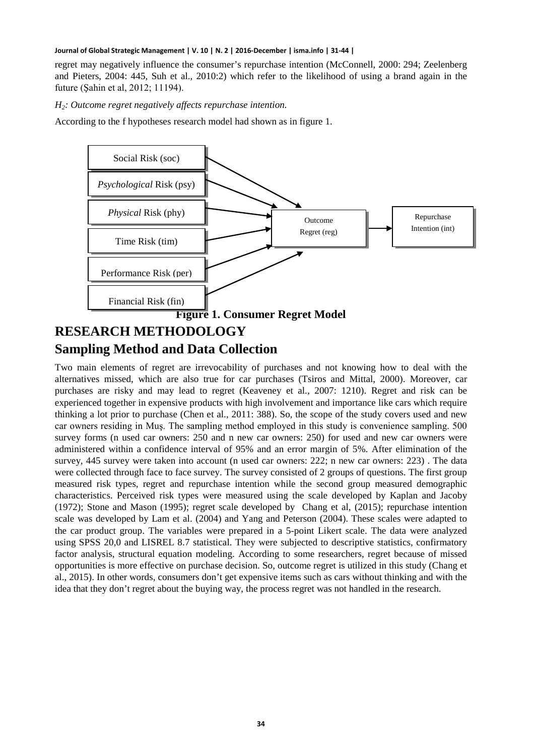regret may negatively influence the consumer's repurchase intention (McConnell, 2000: 294; Zeelenberg and Pieters, 2004: 445, Suh et al., 2010:2) which refer to the likelihood of using a brand again in the future (Şahin et al, 2012; 11194).

*H2: Outcome regret negatively affects repurchase intention.*

According to the f hypotheses research model had shown as in figure 1.



### **Sampling Method and Data Collection**

Two main elements of regret are irrevocability of purchases and not knowing how to deal with the alternatives missed, which are also true for car purchases (Tsiros and Mittal, 2000). Moreover, car purchases are risky and may lead to regret (Keaveney et al., 2007: 1210). Regret and risk can be experienced together in expensive products with high involvement and importance like cars which require thinking a lot prior to purchase (Chen et al., 2011: 388). So, the scope of the study covers used and new car owners residing in Muş. The sampling method employed in this study is convenience sampling. 500 survey forms (n used car owners: 250 and n new car owners: 250) for used and new car owners were administered within a confidence interval of 95% and an error margin of 5%. After elimination of the survey, 445 survey were taken into account (n used car owners: 222; n new car owners: 223) . The data were collected through face to face survey. The survey consisted of 2 groups of questions. The first group measured risk types, regret and repurchase intention while the second group measured demographic characteristics. Perceived risk types were measured using the scale developed by Kaplan and Jacoby (1972); Stone and Mason (1995); regret scale developed by Chang et al, (2015); repurchase intention scale was developed by Lam et al. (2004) and Yang and Peterson (2004). These scales were adapted to the car product group. The variables were prepared in a 5-point Likert scale. The data were analyzed using SPSS 20,0 and LISREL 8.7 statistical. They were subjected to descriptive statistics, confirmatory factor analysis, structural equation modeling. According to some researchers, regret because of missed opportunities is more effective on purchase decision. So, outcome regret is utilized in this study (Chang et al., 2015). In other words, consumers don't get expensive items such as cars without thinking and with the idea that they don't regret about the buying way, the process regret was not handled in the research.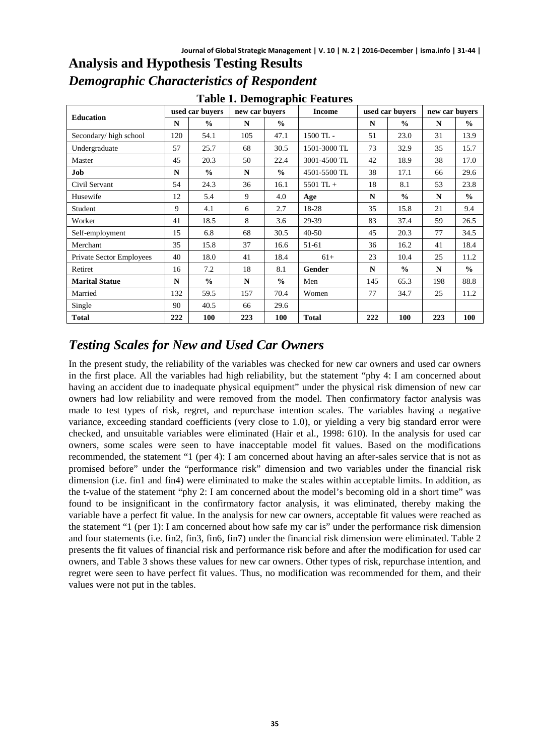| <b>Table 1. Demographic Features</b> |                 |               |                |               |               |                 |               |                |               |
|--------------------------------------|-----------------|---------------|----------------|---------------|---------------|-----------------|---------------|----------------|---------------|
| <b>Education</b>                     | used car buvers |               | new car buyers |               | <b>Income</b> | used car buvers |               | new car buvers |               |
|                                      | N               | $\frac{0}{0}$ | N              | $\frac{0}{0}$ |               | N               | $\frac{0}{0}$ | N              | $\frac{0}{0}$ |
| Secondary/high school                | 120             | 54.1          | 105            | 47.1          | $1500$ TL $-$ | 51              | 23.0          | 31             | 13.9          |
| Undergraduate                        | 57              | 25.7          | 68             | 30.5          | 1501-3000 TL  | 73              | 32.9          | 35             | 15.7          |
| Master                               | 45              | 20.3          | 50             | 22.4          | 3001-4500 TL  | 42              | 18.9          | 38             | 17.0          |
| Job                                  | N               | $\frac{0}{0}$ | N              | $\frac{0}{0}$ | 4501-5500 TL  | 38              | 17.1          | 66             | 29.6          |
| Civil Servant                        | 54              | 24.3          | 36             | 16.1          | $5501$ TL +   | 18              | 8.1           | 53             | 23.8          |
| Husewife                             | 12              | 5.4           | 9              | 4.0           | Age           | N               | $\frac{0}{0}$ | N              | $\frac{0}{0}$ |
| Student                              | 9               | 4.1           | 6              | 2.7           | 18-28         | 35              | 15.8          | 21             | 9.4           |
| Worker                               | 41              | 18.5          | 8              | 3.6           | 29-39         | 83              | 37.4          | 59             | 26.5          |
| Self-employment                      | 15              | 6.8           | 68             | 30.5          | $40 - 50$     | 45              | 20.3          | 77             | 34.5          |
| Merchant                             | 35              | 15.8          | 37             | 16.6          | 51-61         | 36              | 16.2          | 41             | 18.4          |
| Private Sector Employees             | 40              | 18.0          | 41             | 18.4          | $61+$         | 23              | 10.4          | 25             | 11.2          |
| Retiret                              | 16              | 7.2           | 18             | 8.1           | Gender        | N               | $\frac{0}{0}$ | N              | $\frac{0}{0}$ |
| <b>Marital Statue</b>                | N               | $\frac{0}{0}$ | N              | $\frac{0}{0}$ | Men           | 145             | 65.3          | 198            | 88.8          |
| Married                              | 132             | 59.5          | 157            | 70.4          | Women         | 77              | 34.7          | 25             | 11.2          |
| Single                               | 90              | 40.5          | 66             | 29.6          |               |                 |               |                |               |
| Total                                | 222             | 100           | 223            | 100           | <b>Total</b>  | 222             | 100           | 223            | 100           |

## **Analysis and Hypothesis Testing Results** *Demographic Characteristics of Respondent*

# *Testing Scales for New and Used Car Owners*

In the present study, the reliability of the variables was checked for new car owners and used car owners in the first place. All the variables had high reliability, but the statement "phy 4: I am concerned about having an accident due to inadequate physical equipment" under the physical risk dimension of new car owners had low reliability and were removed from the model. Then confirmatory factor analysis was made to test types of risk, regret, and repurchase intention scales. The variables having a negative variance, exceeding standard coefficients (very close to 1.0), or yielding a very big standard error were checked, and unsuitable variables were eliminated (Hair et al., 1998: 610). In the analysis for used car owners, some scales were seen to have inacceptable model fit values. Based on the modifications recommended, the statement "1 (per 4): I am concerned about having an after-sales service that is not as promised before" under the "performance risk" dimension and two variables under the financial risk dimension (i.e. fin1 and fin4) were eliminated to make the scales within acceptable limits. In addition, as the t-value of the statement "phy 2: I am concerned about the model's becoming old in a short time" was found to be insignificant in the confirmatory factor analysis, it was eliminated, thereby making the variable have a perfect fit value. In the analysis for new car owners, acceptable fit values were reached as the statement "1 (per 1): I am concerned about how safe my car is" under the performance risk dimension and four statements (i.e. fin2, fin3, fin6, fin7) under the financial risk dimension were eliminated. Table 2 presents the fit values of financial risk and performance risk before and after the modification for used car owners, and Table 3 shows these values for new car owners. Other types of risk, repurchase intention, and regret were seen to have perfect fit values. Thus, no modification was recommended for them, and their values were not put in the tables.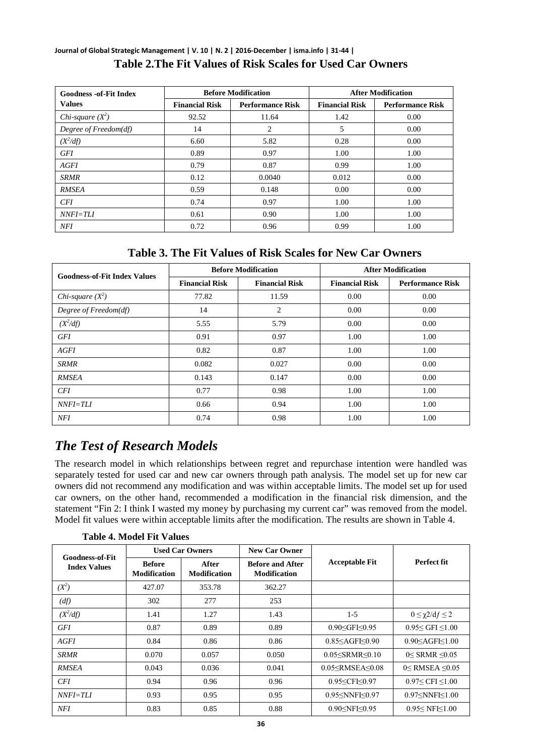#### **Journal of Global Strategic Management | V. 10 | N. 2 | 2016-December | isma.info | 31-44 | Table 2.The Fit Values of Risk Scales for Used Car Owners**

| <b>Goodness -of-Fit Index</b> |                       | <b>Before Modification</b> | <b>After Modification</b> |                         |  |
|-------------------------------|-----------------------|----------------------------|---------------------------|-------------------------|--|
| <b>Values</b>                 | <b>Financial Risk</b> | <b>Performance Risk</b>    | <b>Financial Risk</b>     | <b>Performance Risk</b> |  |
| Chi-square $(X^2)$            | 92.52                 | 11.64                      | 1.42                      | 0.00                    |  |
| Degree of Freedom(df)         | 14                    | 2                          | 5                         | 0.00                    |  |
| $(X^2/df)$                    | 6.60                  | 5.82                       | 0.28                      | 0.00                    |  |
| GFI                           | 0.89                  | 0.97                       | 1.00                      | 1.00                    |  |
| AGFI                          | 0.79                  | 0.87                       | 0.99                      | 1.00                    |  |
| <b>SRMR</b>                   | 0.12                  | 0.0040                     | 0.012                     | 0.00                    |  |
| <b>RMSEA</b>                  | 0.59                  | 0.148                      | 0.00                      | 0.00                    |  |
| <b>CFI</b>                    | 0.74                  | 0.97                       | 1.00                      | 1.00                    |  |
| $NNFI=TIJ$                    | 0.61                  | 0.90                       | 1.00                      | 1.00                    |  |
| NFI                           | 0.72                  | 0.96                       | 0.99                      | 1.00                    |  |

#### **Table 3. The Fit Values of Risk Scales for New Car Owners**

| <b>Goodness-of-Fit Index Values</b> |                       | <b>Before Modification</b> | <b>After Modification</b> |                         |  |
|-------------------------------------|-----------------------|----------------------------|---------------------------|-------------------------|--|
|                                     | <b>Financial Risk</b> | <b>Financial Risk</b>      | <b>Financial Risk</b>     | <b>Performance Risk</b> |  |
| Chi-square $(X^2)$                  | 77.82                 | 11.59                      | 0.00                      | 0.00                    |  |
| Degree of Freedom(df)               | 14                    | $\overline{2}$             | 0.00                      | 0.00                    |  |
| $(X^2/df)$                          | 5.55                  | 5.79                       | 0.00                      | 0.00                    |  |
| <b>GFI</b>                          | 0.91                  | 0.97                       | 1.00                      | 1.00                    |  |
| AGFI                                | 0.82                  | 0.87                       | 1.00                      | 1.00                    |  |
| SRMR                                | 0.082                 | 0.027                      | 0.00                      | 0.00                    |  |
| <b>RMSEA</b>                        | 0.143                 | 0.147                      | 0.00                      | 0.00                    |  |
| <b>CFI</b>                          | 0.77                  | 0.98                       | 1.00                      | 1.00                    |  |
| <i>NNFI=TLI</i>                     | 0.66                  | 0.94                       | 1.00                      | 1.00                    |  |
| NFI                                 | 0.74                  | 0.98                       | 1.00                      | 1.00                    |  |

### *The Test of Research Models*

The research model in which relationships between regret and repurchase intention were handled was separately tested for used car and new car owners through path analysis. The model set up for new car owners did not recommend any modification and was within acceptable limits. The model set up for used car owners, on the other hand, recommended a modification in the financial risk dimension, and the statement "Fin 2: I think I wasted my money by purchasing my current car" was removed from the model. Model fit values were within acceptable limits after the modification. The results are shown in Table 4.

**Table 4. Model Fit Values**

|                                               | <b>Used Car Owners</b>               |                              | <b>New Car Owner</b>                           |                                                                                             |                             |  |
|-----------------------------------------------|--------------------------------------|------------------------------|------------------------------------------------|---------------------------------------------------------------------------------------------|-----------------------------|--|
| <b>Goodness-of-Fit</b><br><b>Index Values</b> | <b>Before</b><br><b>Modification</b> | After<br><b>Modification</b> | <b>Before and After</b><br><b>Modification</b> | <b>Acceptable Fit</b>                                                                       | Perfect fit                 |  |
| $(X^2)$                                       | 427.07                               | 353.78                       | 362.27                                         |                                                                                             |                             |  |
| (df)                                          | 302                                  | 277                          | 253                                            |                                                                                             |                             |  |
| $(X^2/df)$                                    | 1.41                                 | 1.27                         | 1.43                                           | $1-5$                                                                                       | $0 \leq \gamma 2/df \leq 2$ |  |
| GFI                                           | 0.87                                 | 0.89                         | 0.89                                           | 0.90 < GFI < 0.95                                                                           | 0.95 < GFI < 1.00           |  |
| AGFI                                          | 0.84                                 | 0.86                         | 0.86                                           | $0.85<$ AGFI $\leq 0.90$                                                                    | $0.90<$ AGFI $<$ 1.00       |  |
| <b>SRMR</b>                                   | 0.070                                | 0.057                        | 0.050                                          | 0.05 < SRMR < 0.10                                                                          | $0 <$ SRMR $\leq 0.05$      |  |
| <b>RMSEA</b>                                  | 0.043                                | 0.036                        | 0.041                                          | $0.05<$ RMSEA< $0.08$                                                                       | $0 <$ RMSEA $\leq 0.05$     |  |
| <b>CFI</b>                                    | 0.94                                 | 0.96                         | 0.96                                           | 0.95 <cfi<0.97< td=""><td><math>0.97 \leq CFI \leq 1.00</math></td></cfi<0.97<>             | $0.97 \leq CFI \leq 1.00$   |  |
| <i>NNFI=TLI</i>                               | 0.93                                 | 0.95                         | 0.95                                           | 0.95 <nnfi<0.97< td=""><td><math>0.97&lt;</math>NNFI<math>&lt;</math>1.00</td></nnfi<0.97<> | $0.97<$ NNFI $<$ 1.00       |  |
| <b>NFI</b>                                    | 0.83                                 | 0.85                         | 0.88                                           | $0.90<$ NFI $< 0.95$                                                                        | $0.95<$ NFI $<$ 1.00        |  |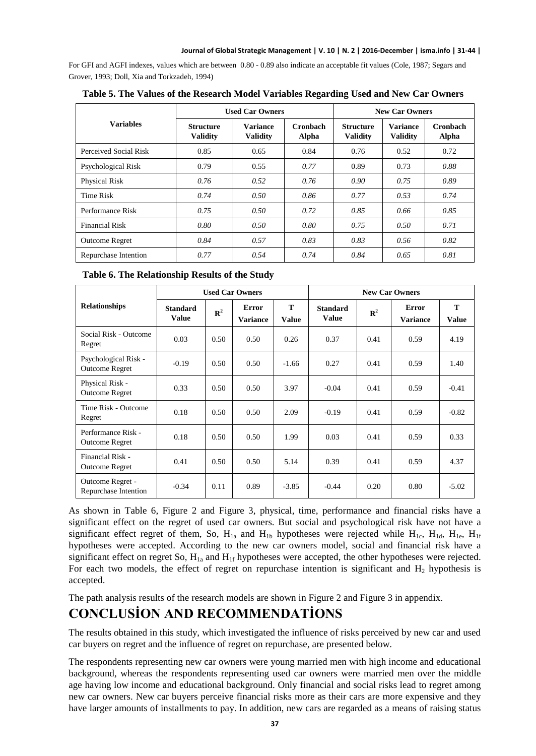For GFI and AGFI indexes, values which are between 0.80 - 0.89 also indicate an acceptable fit values (Cole, 1987; Segars and Grover, 1993; Doll, Xia and Torkzadeh, 1994)

|                       |                                                                           | <b>Used Car Owners</b> |                          | <b>New Car Owners</b>               |                                    |                   |  |
|-----------------------|---------------------------------------------------------------------------|------------------------|--------------------------|-------------------------------------|------------------------------------|-------------------|--|
| <b>Variables</b>      | <b>Variance</b><br><b>Structure</b><br><b>Validity</b><br><b>Validity</b> |                        | <b>Cronbach</b><br>Alpha | <b>Structure</b><br><b>Validity</b> | <b>Variance</b><br><b>Validity</b> | Cronbach<br>Alpha |  |
| Perceived Social Risk | 0.85                                                                      | 0.65                   | 0.84                     | 0.76                                | 0.52                               | 0.72              |  |
| Psychological Risk    | 0.79                                                                      | 0.55                   | 0.77                     | 0.89                                | 0.73                               | 0.88              |  |
| <b>Physical Risk</b>  | 0.76                                                                      | 0.52                   | 0.76                     | 0.90                                | 0.75                               | 0.89              |  |
| Time Risk             | 0.74                                                                      | 0.50                   | 0.86                     | 0.77                                | 0.53                               | 0.74              |  |
| Performance Risk      | 0.75                                                                      | 0.50                   | 0.72                     | 0.85                                | 0.66                               | 0.85              |  |
| <b>Financial Risk</b> | 0.80                                                                      | 0.50                   | 0.80                     | 0.75                                | 0.50                               | 0.71              |  |
| <b>Outcome Regret</b> | 0.84                                                                      | 0.57                   | 0.83                     | 0.83                                | 0.56                               | 0.82              |  |
| Repurchase Intention  | 0.77                                                                      | 0.54                   | 0.74                     | 0.84                                | 0.65                               | 0.81              |  |

**Table 5. The Values of the Research Model Variables Regarding Used and New Car Owners**

|  | Table 6. The Relationship Results of the Study |  |  |
|--|------------------------------------------------|--|--|
|--|------------------------------------------------|--|--|

|                                               |                                 |             | <b>Used Car Owners</b>          |                   | <b>New Car Owners</b>           |             |                          |                   |
|-----------------------------------------------|---------------------------------|-------------|---------------------------------|-------------------|---------------------------------|-------------|--------------------------|-------------------|
| <b>Relationships</b>                          | <b>Standard</b><br><b>Value</b> | ${\bf R}^2$ | <b>Error</b><br><b>Variance</b> | T<br><b>Value</b> | <b>Standard</b><br><b>Value</b> | ${\bf R}^2$ | Error<br><b>Variance</b> | T<br><b>Value</b> |
| Social Risk - Outcome<br>Regret               | 0.03                            | 0.50        | 0.50                            | 0.26              | 0.37                            | 0.41        | 0.59                     | 4.19              |
| Psychological Risk -<br><b>Outcome Regret</b> | $-0.19$                         | 0.50        | 0.50                            | $-1.66$           | 0.27                            | 0.41        | 0.59                     | 1.40              |
| Physical Risk -<br><b>Outcome Regret</b>      | 0.33                            | 0.50        | 0.50                            | 3.97              | $-0.04$                         | 0.41        | 0.59                     | $-0.41$           |
| Time Risk - Outcome<br>Regret                 | 0.18                            | 0.50        | 0.50                            | 2.09              | $-0.19$                         | 0.41        | 0.59                     | $-0.82$           |
| Performance Risk -<br><b>Outcome Regret</b>   | 0.18                            | 0.50        | 0.50                            | 1.99              | 0.03                            | 0.41        | 0.59                     | 0.33              |
| Financial Risk -<br><b>Outcome Regret</b>     | 0.41                            | 0.50        | 0.50                            | 5.14              | 0.39                            | 0.41        | 0.59                     | 4.37              |
| Outcome Regret -<br>Repurchase Intention      | $-0.34$                         | 0.11        | 0.89                            | $-3.85$           | $-0.44$                         | 0.20        | 0.80                     | $-5.02$           |

As shown in Table 6, Figure 2 and Figure 3, physical, time, performance and financial risks have a significant effect on the regret of used car owners. But social and psychological risk have not have a significant effect regret of them, So,  $H_{1a}$  and  $H_{1b}$  hypotheses were rejected while  $H_{1c}$ ,  $H_{1d}$ ,  $H_{1e}$ ,  $H_{1f}$ hypotheses were accepted. According to the new car owners model, social and financial risk have a significant effect on regret So,  $H_{1a}$  and  $H_{1f}$  hypotheses were accepted, the other hypotheses were rejected. For each two models, the effect of regret on repurchase intention is significant and  $H_2$  hypothesis is accepted.

The path analysis results of the research models are shown in Figure 2 and Figure 3 in appendix.

# **CONCLUSİON AND RECOMMENDATİONS**

The results obtained in this study, which investigated the influence of risks perceived by new car and used car buyers on regret and the influence of regret on repurchase, are presented below.

The respondents representing new car owners were young married men with high income and educational background, whereas the respondents representing used car owners were married men over the middle age having low income and educational background. Only financial and social risks lead to regret among new car owners. New car buyers perceive financial risks more as their cars are more expensive and they have larger amounts of installments to pay. In addition, new cars are regarded as a means of raising status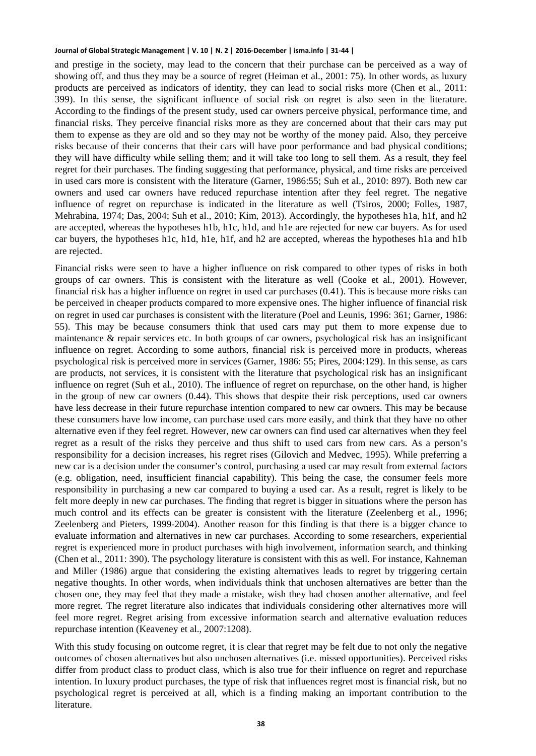and prestige in the society, may lead to the concern that their purchase can be perceived as a way of showing off, and thus they may be a source of regret (Heiman et al., 2001: 75). In other words, as luxury products are perceived as indicators of identity, they can lead to social risks more (Chen et al., 2011: 399). In this sense, the significant influence of social risk on regret is also seen in the literature. According to the findings of the present study, used car owners perceive physical, performance time, and financial risks. They perceive financial risks more as they are concerned about that their cars may put them to expense as they are old and so they may not be worthy of the money paid. Also, they perceive risks because of their concerns that their cars will have poor performance and bad physical conditions; they will have difficulty while selling them; and it will take too long to sell them. As a result, they feel regret for their purchases. The finding suggesting that performance, physical, and time risks are perceived in used cars more is consistent with the literature (Garner, 1986:55; Suh et al., 2010: 897). Both new car owners and used car owners have reduced repurchase intention after they feel regret. The negative influence of regret on repurchase is indicated in the literature as well (Tsiros, 2000; Folles, 1987, Mehrabina, 1974; Das, 2004; Suh et al., 2010; Kim, 2013). Accordingly, the hypotheses h1a, h1f, and h2 are accepted, whereas the hypotheses h1b, h1c, h1d, and h1e are rejected for new car buyers. As for used car buyers, the hypotheses h1c, h1d, h1e, h1f, and h2 are accepted, whereas the hypotheses h1a and h1b are rejected.

Financial risks were seen to have a higher influence on risk compared to other types of risks in both groups of car owners. This is consistent with the literature as well (Cooke et al., 2001). However, financial risk has a higher influence on regret in used car purchases (0.41). This is because more risks can be perceived in cheaper products compared to more expensive ones. The higher influence of financial risk on regret in used car purchases is consistent with the literature (Poel and Leunis, 1996: 361; Garner, 1986: 55). This may be because consumers think that used cars may put them to more expense due to maintenance & repair services etc. In both groups of car owners, psychological risk has an insignificant influence on regret. According to some authors, financial risk is perceived more in products, whereas psychological risk is perceived more in services (Garner, 1986: 55; Pires, 2004:129). In this sense, as cars are products, not services, it is consistent with the literature that psychological risk has an insignificant influence on regret (Suh et al., 2010). The influence of regret on repurchase, on the other hand, is higher in the group of new car owners (0.44). This shows that despite their risk perceptions, used car owners have less decrease in their future repurchase intention compared to new car owners. This may be because these consumers have low income, can purchase used cars more easily, and think that they have no other alternative even if they feel regret. However, new car owners can find used car alternatives when they feel regret as a result of the risks they perceive and thus shift to used cars from new cars. As a person's responsibility for a decision increases, his regret rises (Gilovich and Medvec, 1995). While preferring a new car is a decision under the consumer's control, purchasing a used car may result from external factors (e.g. obligation, need, insufficient financial capability). This being the case, the consumer feels more responsibility in purchasing a new car compared to buying a used car. As a result, regret is likely to be felt more deeply in new car purchases. The finding that regret is bigger in situations where the person has much control and its effects can be greater is consistent with the literature (Zeelenberg et al., 1996; Zeelenberg and Pieters, 1999-2004). Another reason for this finding is that there is a bigger chance to evaluate information and alternatives in new car purchases. According to some researchers, experiential regret is experienced more in product purchases with high involvement, information search, and thinking (Chen et al., 2011: 390). The psychology literature is consistent with this as well. For instance, Kahneman and Miller (1986) argue that considering the existing alternatives leads to regret by triggering certain negative thoughts. In other words, when individuals think that unchosen alternatives are better than the chosen one, they may feel that they made a mistake, wish they had chosen another alternative, and feel more regret. The regret literature also indicates that individuals considering other alternatives more will feel more regret. Regret arising from excessive information search and alternative evaluation reduces repurchase intention (Keaveney et al., 2007:1208).

With this study focusing on outcome regret, it is clear that regret may be felt due to not only the negative outcomes of chosen alternatives but also unchosen alternatives (i.e. missed opportunities). Perceived risks differ from product class to product class, which is also true for their influence on regret and repurchase intention. In luxury product purchases, the type of risk that influences regret most is financial risk, but no psychological regret is perceived at all, which is a finding making an important contribution to the literature.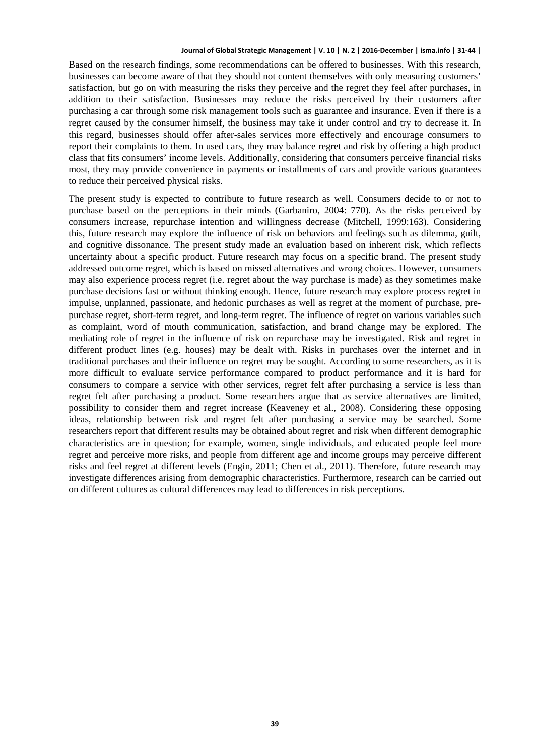Based on the research findings, some recommendations can be offered to businesses. With this research, businesses can become aware of that they should not content themselves with only measuring customers' satisfaction, but go on with measuring the risks they perceive and the regret they feel after purchases, in addition to their satisfaction. Businesses may reduce the risks perceived by their customers after purchasing a car through some risk management tools such as guarantee and insurance. Even if there is a regret caused by the consumer himself, the business may take it under control and try to decrease it. In this regard, businesses should offer after-sales services more effectively and encourage consumers to report their complaints to them. In used cars, they may balance regret and risk by offering a high product class that fits consumers' income levels. Additionally, considering that consumers perceive financial risks most, they may provide convenience in payments or installments of cars and provide various guarantees to reduce their perceived physical risks.

The present study is expected to contribute to future research as well. Consumers decide to or not to purchase based on the perceptions in their minds (Garbaniro, 2004: 770). As the risks perceived by consumers increase, repurchase intention and willingness decrease (Mitchell, 1999:163). Considering this, future research may explore the influence of risk on behaviors and feelings such as dilemma, guilt, and cognitive dissonance. The present study made an evaluation based on inherent risk, which reflects uncertainty about a specific product. Future research may focus on a specific brand. The present study addressed outcome regret, which is based on missed alternatives and wrong choices. However, consumers may also experience process regret (i.e. regret about the way purchase is made) as they sometimes make purchase decisions fast or without thinking enough. Hence, future research may explore process regret in impulse, unplanned, passionate, and hedonic purchases as well as regret at the moment of purchase, prepurchase regret, short-term regret, and long-term regret. The influence of regret on various variables such as complaint, word of mouth communication, satisfaction, and brand change may be explored. The mediating role of regret in the influence of risk on repurchase may be investigated. Risk and regret in different product lines (e.g. houses) may be dealt with. Risks in purchases over the internet and in traditional purchases and their influence on regret may be sought. According to some researchers, as it is more difficult to evaluate service performance compared to product performance and it is hard for consumers to compare a service with other services, regret felt after purchasing a service is less than regret felt after purchasing a product. Some researchers argue that as service alternatives are limited, possibility to consider them and regret increase (Keaveney et al., 2008). Considering these opposing ideas, relationship between risk and regret felt after purchasing a service may be searched. Some researchers report that different results may be obtained about regret and risk when different demographic characteristics are in question; for example, women, single individuals, and educated people feel more regret and perceive more risks, and people from different age and income groups may perceive different risks and feel regret at different levels (Engin, 2011; Chen et al., 2011). Therefore, future research may investigate differences arising from demographic characteristics. Furthermore, research can be carried out on different cultures as cultural differences may lead to differences in risk perceptions.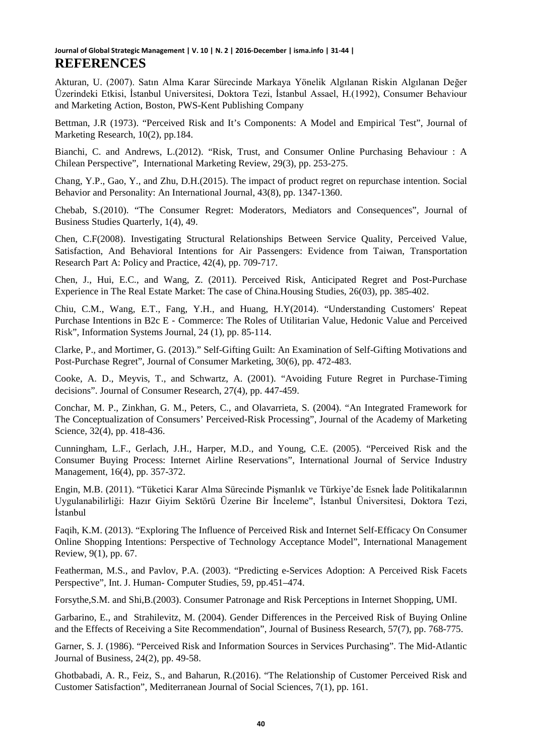Akturan, U. (2007). Satın Alma Karar Sürecinde Markaya Yönelik Algılanan Riskin Algılanan Değer Üzerindeki Etkisi, İstanbul Universitesi, Doktora Tezi, İstanbul Assael, H.(1992), Consumer Behaviour and Marketing Action, Boston, PWS-Kent Publishing Company

Bettman, J.R (1973). "Perceived Risk and It's Components: A Model and Empirical Test", Journal of Marketing Research, 10(2), pp.184.

Bianchi, C. and Andrews, L.(2012). "Risk, Trust, and Consumer Online Purchasing Behaviour : A Chilean Perspective", International Marketing Review, 29(3), pp. 253-275.

Chang, Y.P., Gao, Y., and Zhu, D.H.(2015). The impact of product regret on repurchase intention. Social Behavior and Personality: An International Journal, 43(8), pp. 1347-1360.

Chebab, S.(2010). "The Consumer Regret: Moderators, Mediators and Consequences", Journal of Business Studies Quarterly, 1(4), 49.

Chen, C.F(2008). Investigating Structural Relationships Between Service Quality, Perceived Value, Satisfaction, And Behavioral Intentions for Air Passengers: Evidence from Taiwan, Transportation Research Part A: Policy and Practice, 42(4), pp. 709-717.

Chen, J., Hui, E.C., and Wang, Z. (2011). Perceived Risk, Anticipated Regret and Post-Purchase Experience in The Real Estate Market: The case of China.Housing Studies, 26(03), pp. 385-402.

Chiu, C.M., Wang, E.T., Fang, Y.H., and Huang, H.Y(2014). "Understanding Customers' Repeat Purchase Intentions in B2c E‐Commerce: The Roles of Utilitarian Value, Hedonic Value and Perceived Risk", Information Systems Journal, 24 (1), pp. 85-114.

Clarke, P., and Mortimer, G. (2013)." Self-Gifting Guilt: An Examination of Self-Gifting Motivations and Post-Purchase Regret", Journal of Consumer Marketing, 30(6), pp. 472-483.

Cooke, A. D., Meyvis, T., and Schwartz, A. (2001). "Avoiding Future Regret in Purchase-Timing decisions". Journal of Consumer Research, 27(4), pp. 447-459.

Conchar, M. P., Zinkhan, G. M., Peters, C., and Olavarrieta, S. (2004). "An Integrated Framework for The Conceptualization of Consumers' Perceived-Risk Processing", Journal of the Academy of Marketing Science, 32(4), pp. 418-436.

Cunningham, L.F., Gerlach, J.H., Harper, M.D., and Young, C.E. (2005). "Perceived Risk and the Consumer Buying Process: Internet Airline Reservations", International Journal of Service Industry Management, 16(4), pp. 357-372.

Engin, M.B. (2011). "Tüketici Karar Alma Sürecinde Pişmanlık ve Türkiye'de Esnek İade Politikalarının Uygulanabilirliği: Hazır Giyim Sektörü Üzerine Bir İnceleme", İstanbul Üniversitesi, Doktora Tezi, İstanbul

Faqih, K.M. (2013). "Exploring The Influence of Perceived Risk and Internet Self-Efficacy On Consumer Online Shopping Intentions: Perspective of Technology Acceptance Model", International Management Review, 9(1), pp. 67.

Featherman, M.S., and Pavlov, P.A. (2003). "Predicting e-Services Adoption: A Perceived Risk Facets Perspective", Int. J. Human- Computer Studies, 59, pp.451–474.

Forsythe,S.M. and Shi,B.(2003). Consumer Patronage and Risk Perceptions in Internet Shopping, UMI.

Garbarino, E., and Strahilevitz, M. (2004). Gender Differences in the Perceived Risk of Buying Online and the Effects of Receiving a Site Recommendation", Journal of Business Research, 57(7), pp. 768-775.

Garner, S. J. (1986). "Perceived Risk and Information Sources in Services Purchasing". The Mid-Atlantic Journal of Business, 24(2), pp. 49-58.

Ghotbabadi, A. R., Feiz, S., and Baharun, R.(2016). "The Relationship of Customer Perceived Risk and Customer Satisfaction", Mediterranean Journal of Social Sciences, 7(1), pp. 161.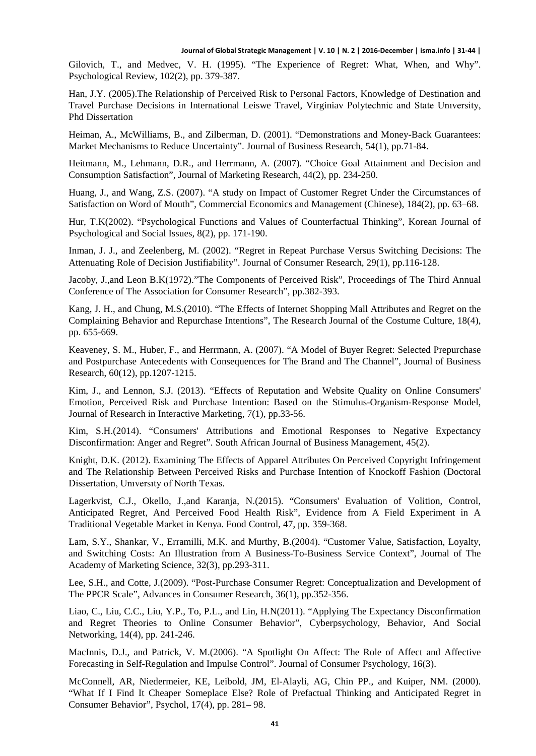Gilovich, T., and Medvec, V. H. (1995). "The Experience of Regret: What, When, and Why". Psychological Review, 102(2), pp. 379-387.

Han, J.Y. (2005).The Relationship of Perceived Risk to Personal Factors, Knowledge of Destination and Travel Purchase Decisions in International Leiswe Travel, Virginiav Polytechnic and State Unıversity, Phd Dissertation

Heiman, A., McWilliams, B., and Zilberman, D. (2001). "Demonstrations and Money-Back Guarantees: Market Mechanisms to Reduce Uncertainty". Journal of Business Research, 54(1), pp.71-84.

Heitmann, M., Lehmann, D.R., and Herrmann, A. (2007). "Choice Goal Attainment and Decision and Consumption Satisfaction", Journal of Marketing Research, 44(2), pp. 234-250.

Huang, J., and Wang, Z.S. (2007). "A study on Impact of Customer Regret Under the Circumstances of Satisfaction on Word of Mouth", Commercial Economics and Management (Chinese), 184(2), pp. 63–68.

Hur, T.K(2002). "Psychological Functions and Values of Counterfactual Thinking", Korean Journal of Psychological and Social Issues, 8(2), pp. 171-190.

Inman, J. J., and Zeelenberg, M. (2002). "Regret in Repeat Purchase Versus Switching Decisions: The Attenuating Role of Decision Justifiability". Journal of Consumer Research, 29(1), pp.116-128.

Jacoby, J.,and Leon B.K(1972)."The Components of Perceived Risk", Proceedings of The Third Annual Conference of The Association for Consumer Research", pp.382-393.

Kang, J. H., and Chung, M.S.(2010). "The Effects of Internet Shopping Mall Attributes and Regret on the Complaining Behavior and Repurchase Intentions", The Research Journal of the Costume Culture, 18(4), pp. 655-669.

Keaveney, S. M., Huber, F., and Herrmann, A. (2007). "A Model of Buyer Regret: Selected Prepurchase and Postpurchase Antecedents with Consequences for The Brand and The Channel", Journal of Business Research, 60(12), pp.1207-1215.

Kim, J., and Lennon, S.J. (2013). "Effects of Reputation and Website Quality on Online Consumers' Emotion, Perceived Risk and Purchase Intention: Based on the Stimulus-Organism-Response Model, Journal of Research in Interactive Marketing, 7(1), pp.33-56.

Kim, S.H.(2014). "Consumers' Attributions and Emotional Responses to Negative Expectancy Disconfirmation: Anger and Regret". South African Journal of Business Management, 45(2).

Knight, D.K. (2012). Examining The Effects of Apparel Attributes On Perceived Copyright Infringement and The Relationship Between Perceived Risks and Purchase Intention of Knockoff Fashion (Doctoral Dissertation, Unıversıty of North Texas.

Lagerkvist, C.J., Okello, J.,and Karanja, N.(2015). "Consumers' Evaluation of Volition, Control, Anticipated Regret, And Perceived Food Health Risk", Evidence from A Field Experiment in A Traditional Vegetable Market in Kenya. Food Control, 47, pp. 359-368.

Lam, S.Y., Shankar, V., Erramilli, M.K. and Murthy, B.(2004). "Customer Value, Satisfaction, Loyalty, and Switching Costs: An Illustration from A Business-To-Business Service Context", Journal of The Academy of Marketing Science, 32(3), pp.293-311.

Lee, S.H., and Cotte, J.(2009). "Post-Purchase Consumer Regret: Conceptualization and Development of The PPCR Scale", Advances in Consumer Research, 36(1), pp.352-356.

Liao, C., Liu, C.C., Liu, Y.P., To, P.L., and Lin, H.N(2011). "Applying The Expectancy Disconfirmation and Regret Theories to Online Consumer Behavior", Cyberpsychology, Behavior, And Social Networking, 14(4), pp. 241-246.

MacInnis, D.J., and Patrick, V. M.(2006). "A Spotlight On Affect: The Role of Affect and Affective Forecasting in Self-Regulation and Impulse Control". Journal of Consumer Psychology, 16(3).

McConnell, AR, Niedermeier, KE, Leibold, JM, El-Alayli, AG, Chin PP., and Kuiper, NM. (2000). "What If I Find It Cheaper Someplace Else? Role of Prefactual Thinking and Anticipated Regret in Consumer Behavior", Psychol, 17(4), pp. 281– 98.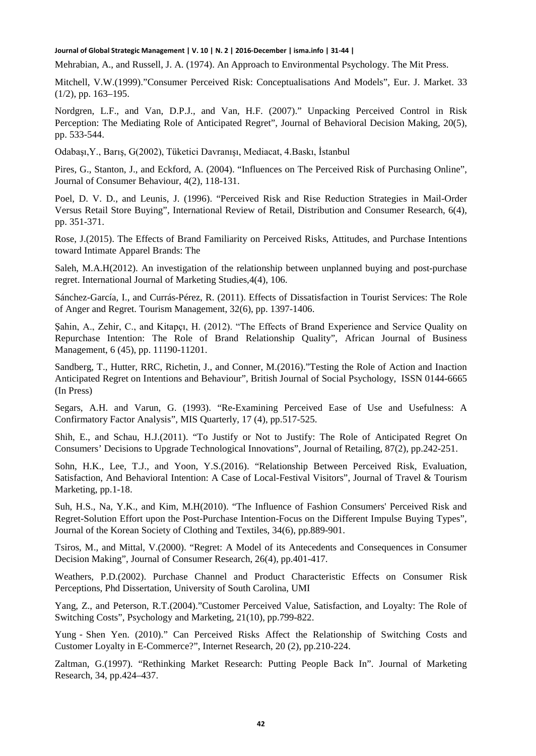Mehrabian, A., and Russell, J. A. (1974). An Approach to Environmental Psychology. The Mit Press.

Mitchell, V.W.(1999)."Consumer Perceived Risk: Conceptualisations And Models", Eur. J. Market. 33 (1/2), pp. 163–195.

Nordgren, L.F., and Van, D.P.J., and Van, H.F. (2007)." Unpacking Perceived Control in Risk Perception: The Mediating Role of Anticipated Regret", Journal of Behavioral Decision Making, 20(5), pp. 533-544.

Odabaşı,Y., Barış, G(2002), Tüketici Davranışı, Mediacat, 4.Baskı, İstanbul

Pires, G., Stanton, J., and Eckford, A. (2004). "Influences on The Perceived Risk of Purchasing Online", Journal of Consumer Behaviour, 4(2), 118-131.

Poel, D. V. D., and Leunis, J. (1996). "Perceived Risk and Rise Reduction Strategies in Mail-Order Versus Retail Store Buying", International Review of Retail, Distribution and Consumer Research, 6(4), pp. 351-371.

Rose, J.(2015). The Effects of Brand Familiarity on Perceived Risks, Attitudes, and Purchase Intentions toward Intimate Apparel Brands: The

Saleh, M.A.H(2012). An investigation of the relationship between unplanned buying and post-purchase regret. International Journal of Marketing Studies,4(4), 106.

Sánchez-García, I., and Currás-Pérez, R. (2011). Effects of Dissatisfaction in Tourist Services: The Role of Anger and Regret. Tourism Management, 32(6), pp. 1397-1406.

Şahin, A., Zehir, C., and Kitapçı, H. (2012). "The Effects of Brand Experience and Service Quality on Repurchase Intention: The Role of Brand Relationship Quality", African Journal of Business Management, 6 (45), pp. 11190-11201.

Sandberg, T., Hutter, RRC, Richetin, J., and Conner, M.(2016)."Testing the Role of Action and Inaction Anticipated Regret on Intentions and Behaviour", British Journal of Social Psychology, ISSN 0144-6665 (In Press)

Segars, A.H. and Varun, G. (1993). "Re-Examining Perceived Ease of Use and Usefulness: A Confirmatory Factor Analysis", MIS Quarterly, 17 (4), pp.517-525.

Shih, E., and Schau, H.J.(2011). "To Justify or Not to Justify: The Role of Anticipated Regret On Consumers' Decisions to Upgrade Technological Innovations", Journal of Retailing, 87(2), pp.242-251.

Sohn, H.K., Lee, T.J., and Yoon, Y.S.(2016). "Relationship Between Perceived Risk, Evaluation, Satisfaction, And Behavioral Intention: A Case of Local-Festival Visitors", Journal of Travel & Tourism Marketing, pp.1-18.

Suh, H.S., Na, Y.K., and Kim, M.H(2010). "The Influence of Fashion Consumers' Perceived Risk and Regret-Solution Effort upon the Post-Purchase Intention-Focus on the Different Impulse Buying Types", Journal of the Korean Society of Clothing and Textiles, 34(6), pp.889-901.

Tsiros, M., and Mittal, V.(2000). "Regret: A Model of its Antecedents and Consequences in Consumer Decision Making", Journal of Consumer Research, 26(4), pp.401-417.

Weathers, P.D.(2002). Purchase Channel and Product Characteristic Effects on Consumer Risk Perceptions, Phd Dissertation, University of South Carolina, UMI

Yang, Z., and Peterson, R.T.(2004)."Customer Perceived Value, Satisfaction, and Loyalty: The Role of Switching Costs", Psychology and Marketing, 21(10), pp.799-822.

Yung - Shen Yen. (2010)." Can Perceived Risks Affect the Relationship of Switching Costs and Customer Loyalty in E-Commerce?", Internet Research, 20 (2), pp.210-224.

Zaltman, G.(1997). "Rethinking Market Research: Putting People Back In". Journal of Marketing Research, 34, pp.424–437.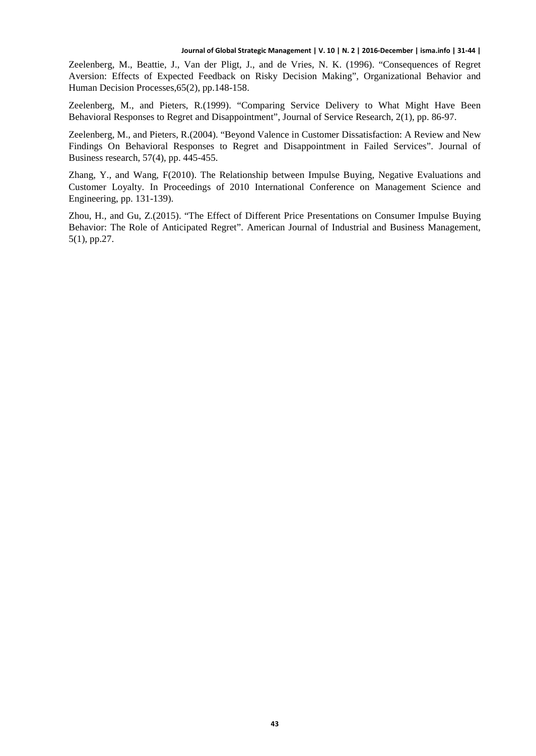Zeelenberg, M., Beattie, J., Van der Pligt, J., and de Vries, N. K. (1996). "Consequences of Regret Aversion: Effects of Expected Feedback on Risky Decision Making", Organizational Behavior and Human Decision Processes,65(2), pp.148-158.

Zeelenberg, M., and Pieters, R.(1999). "Comparing Service Delivery to What Might Have Been Behavioral Responses to Regret and Disappointment", Journal of Service Research, 2(1), pp. 86-97.

Zeelenberg, M., and Pieters, R.(2004). "Beyond Valence in Customer Dissatisfaction: A Review and New Findings On Behavioral Responses to Regret and Disappointment in Failed Services". Journal of Business research, 57(4), pp. 445-455.

Zhang, Y., and Wang, F(2010). The Relationship between Impulse Buying, Negative Evaluations and Customer Loyalty. In Proceedings of 2010 International Conference on Management Science and Engineering, pp. 131-139).

Zhou, H., and Gu, Z.(2015). "The Effect of Different Price Presentations on Consumer Impulse Buying Behavior: The Role of Anticipated Regret". American Journal of Industrial and Business Management, 5(1), pp.27.